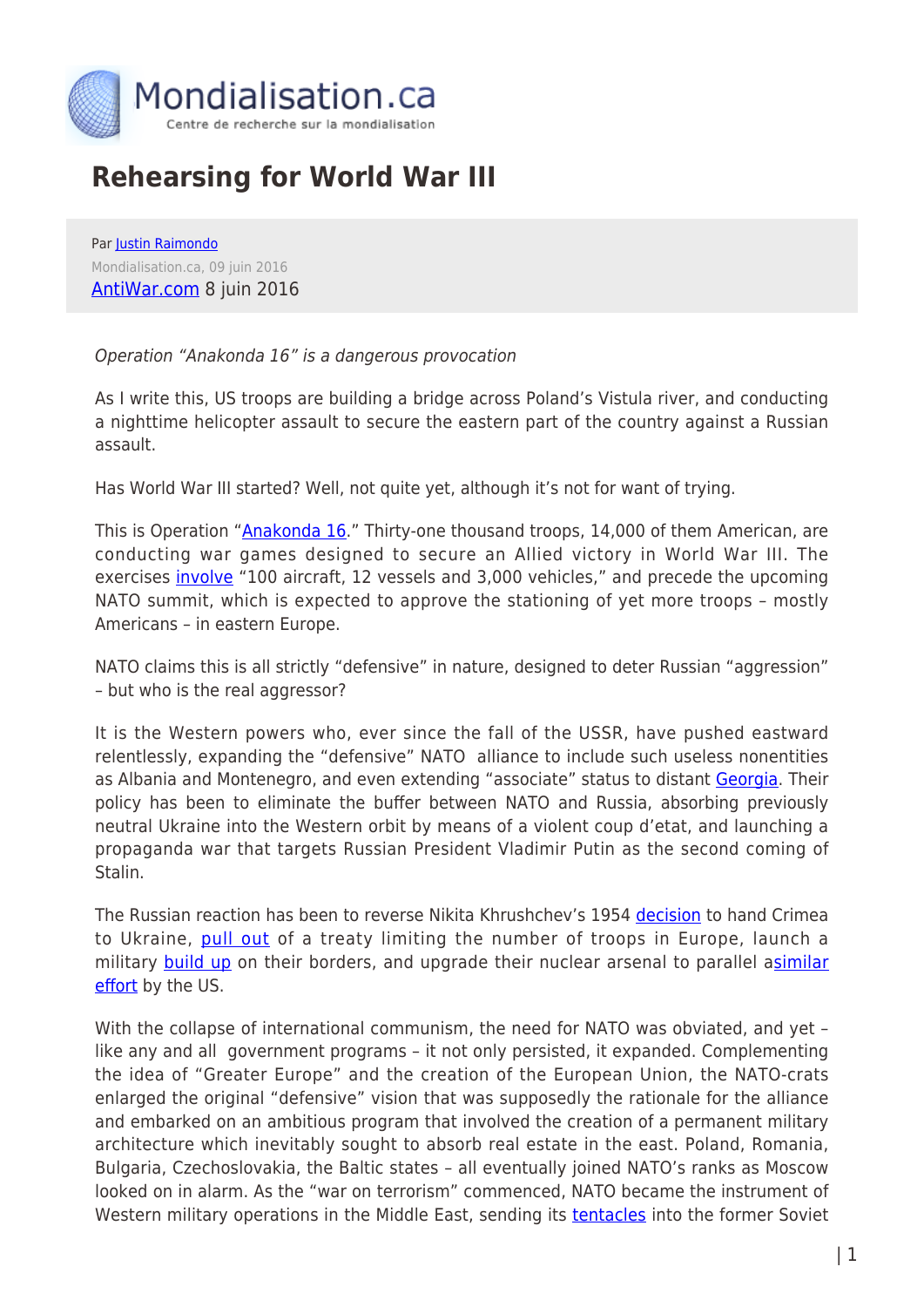

## **Rehearsing for World War III**

Par [Justin Raimondo](https://www.mondialisation.ca/author/justin-raimondo) Mondialisation.ca, 09 juin 2016 [AntiWar.com](http://original.antiwar.com/justin/2016/06/07/rehearsing-world-war-iii/) 8 juin 2016

## Operation "Anakonda 16" is a dangerous provocation

As I write this, US troops are building a bridge across Poland's Vistula river, and conducting a nighttime helicopter assault to secure the eastern part of the country against a Russian assault.

Has World War III started? Well, not quite yet, although it's not for want of trying.

This is Operation ["Anakonda 16](https://www.yahoo.com/news/poland-hold-biggest-nato-manoeuvres-amid-russia-tensions-171355952.html?ref=gs)." Thirty-one thousand troops, 14,000 of them American, are conducting war games designed to secure an Allied victory in World War III. The exercises [involve](http://www.defensenews.com/story/defense-news/2016/06/07/anakonda-kicks-off-poland-major-us-army-involvement/85541328/) "100 aircraft, 12 vessels and 3,000 vehicles," and precede the upcoming NATO summit, which is expected to approve the stationing of yet more troops – mostly Americans – in eastern Europe.

NATO claims this is all strictly "defensive" in nature, designed to deter Russian "aggression" – but who is the real aggressor?

It is the Western powers who, ever since the fall of the USSR, have pushed eastward relentlessly, expanding the "defensive" NATO alliance to include such useless nonentities as Albania and Montenegro, and even extending "associate" status to distant [Georgia.](http://uatoday.tv/politics/russia-slams-nato-georgian-military-drills-644571.html) Their policy has been to eliminate the buffer between NATO and Russia, absorbing previously neutral Ukraine into the Western orbit by means of a violent coup d'etat, and launching a propaganda war that targets Russian President Vladimir Putin as the second coming of Stalin.

The Russian reaction has been to reverse Nikita Khrushchev's 1954 [decision](https://en.wikipedia.org/wiki/1954_transfer_of_Crimea) to hand Crimea to Ukraine, [pull out](https://en.wikipedia.org/wiki/Treaty_on_Conventional_Armed_Forces_in_Europe#Suspension_and_complete_withdrawal_by_Ru) of a treaty limiting the number of troops in Europe, launch a military [build up](http://www.reuters.com/article/us-russia-base-bryansk-idUSKCN0YT1PN?feedType=RSS&feedName=worldNews&utm_source=Twitter&utm_medium=Social&utm_campaign=Feed%3A+Reuters%2FworldNews+%28Reuters+World+News%29) on their borders, and upgrade their nuclear arsenal to parallel a[similar](http://www.nytimes.com/2016/04/17/science/atom-bomb-nuclear-weapons-hgv-arms-race-russia-china.html?_r=0) [effort](http://www.nytimes.com/2016/04/17/science/atom-bomb-nuclear-weapons-hgv-arms-race-russia-china.html?_r=0) by the US.

With the collapse of international communism, the need for NATO was obviated, and yet – like any and all government programs – it not only persisted, it expanded. Complementing the idea of "Greater Europe" and the creation of the European Union, the NATO-crats enlarged the original "defensive" vision that was supposedly the rationale for the alliance and embarked on an ambitious program that involved the creation of a permanent military architecture which inevitably sought to absorb real estate in the east. Poland, Romania, Bulgaria, Czechoslovakia, the Baltic states – all eventually joined NATO's ranks as Moscow looked on in alarm. As the "war on terrorism" commenced, NATO became the instrument of Western military operations in the Middle East, sending its **[tentacles](http://www.nato.int/cps/en/natohq/news_128303.htm)** into the former Soviet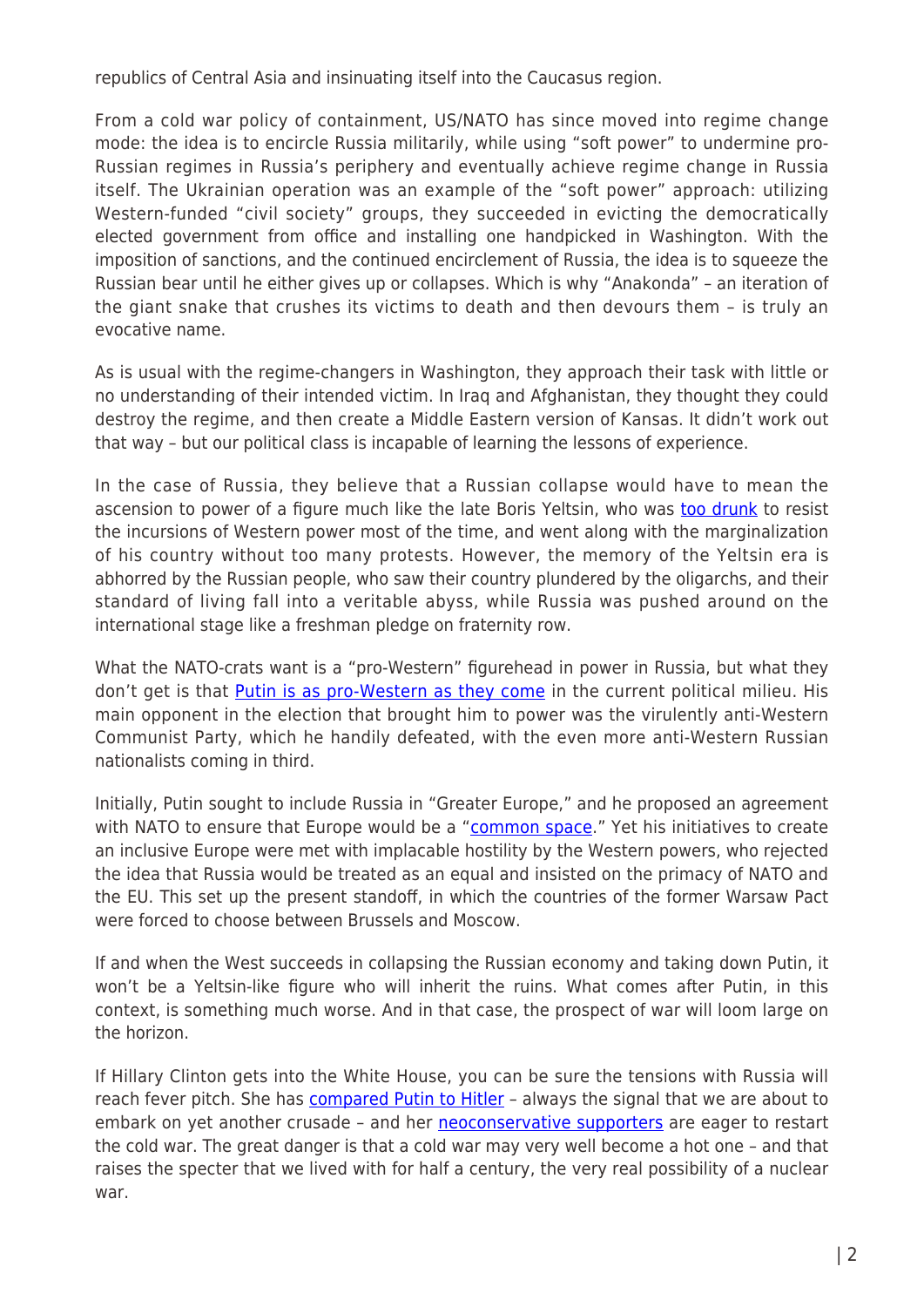republics of Central Asia and insinuating itself into the Caucasus region.

From a cold war policy of containment, US/NATO has since moved into regime change mode: the idea is to encircle Russia militarily, while using "soft power" to undermine pro-Russian regimes in Russia's periphery and eventually achieve regime change in Russia itself. The Ukrainian operation was an example of the "soft power" approach: utilizing Western-funded "civil society" groups, they succeeded in evicting the democratically elected government from office and installing one handpicked in Washington. With the imposition of sanctions, and the continued encirclement of Russia, the idea is to squeeze the Russian bear until he either gives up or collapses. Which is why "Anakonda" – an iteration of the giant snake that crushes its victims to death and then devours them – is truly an evocative name.

As is usual with the regime-changers in Washington, they approach their task with little or no understanding of their intended victim. In Iraq and Afghanistan, they thought they could destroy the regime, and then create a Middle Eastern version of Kansas. It didn't work out that way – but our political class is incapable of learning the lessons of experience.

In the case of Russia, they believe that a Russian collapse would have to mean the ascension to power of a figure much like the late Boris Yeltsin, who was [too drunk](https://www.youtube.com/watch?v=v9YnDirqwT4) to resist the incursions of Western power most of the time, and went along with the marginalization of his country without too many protests. However, the memory of the Yeltsin era is abhorred by the Russian people, who saw their country plundered by the oligarchs, and their standard of living fall into a veritable abyss, while Russia was pushed around on the international stage like a freshman pledge on fraternity row.

What the NATO-crats want is a "pro-Western" figurehead in power in Russia, but what they don't get is that [Putin is as pro-Western as they come](http://www.lowyinterpreter.org/post/2016/06/07/Putin-Russias-last-pro-Western-alternative.aspx) in the current political milieu. His main opponent in the election that brought him to power was the virulently anti-Western Communist Party, which he handily defeated, with the even more anti-Western Russian nationalists coming in third.

Initially, Putin sought to include Russia in "Greater Europe," and he proposed an agreement with NATO to ensure that Europe would be a ["common space.](http://en.special.kremlin.ru/supplement/3589)" Yet his initiatives to create an inclusive Europe were met with implacable hostility by the Western powers, who rejected the idea that Russia would be treated as an equal and insisted on the primacy of NATO and the EU. This set up the present standoff, in which the countries of the former Warsaw Pact were forced to choose between Brussels and Moscow.

If and when the West succeeds in collapsing the Russian economy and taking down Putin, it won't be a Yeltsin-like figure who will inherit the ruins. What comes after Putin, in this context, is something much worse. And in that case, the prospect of war will loom large on the horizon.

If Hillary Clinton gets into the White House, you can be sure the tensions with Russia will reach fever pitch. She has [compared Putin to Hitler](https://www.washingtonpost.com/news/post-politics/wp/2014/03/05/hillary-clinton-says-putins-action-are-like-what-hitler-did-back-in-the-30s/) - always the signal that we are about to embark on yet another crusade - and her [neoconservative supporters](http://nationalinterest.org/feature/why-trump-panicking-robert-kagan-15329) are eager to restart the cold war. The great danger is that a cold war may very well become a hot one – and that raises the specter that we lived with for half a century, the very real possibility of a nuclear war.